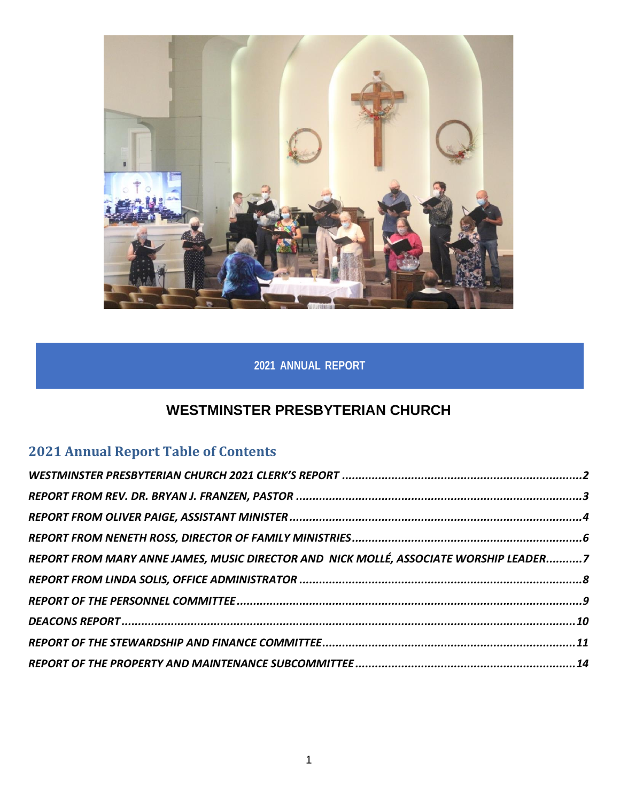

# **2021 ANNUAL REPORT**

# **WESTMINSTER PRESBYTERIAN CHURCH**

# **2021 Annual Report Table of Contents**

| REPORT FROM MARY ANNE JAMES, MUSIC DIRECTOR AND NICK MOLLÉ, ASSOCIATE WORSHIP LEADER7 |  |
|---------------------------------------------------------------------------------------|--|
|                                                                                       |  |
|                                                                                       |  |
|                                                                                       |  |
|                                                                                       |  |
|                                                                                       |  |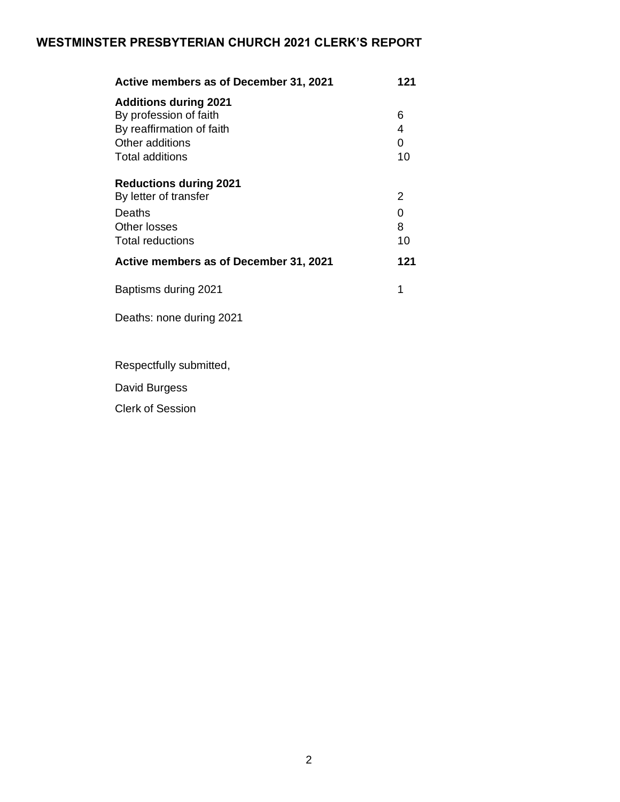## <span id="page-1-0"></span>**WESTMINSTER PRESBYTERIAN CHURCH 2021 CLERK'S REPORT**

| Active members as of December 31, 2021 | 121 |  |
|----------------------------------------|-----|--|
| <b>Additions during 2021</b>           |     |  |
| By profession of faith                 | 6   |  |
| By reaffirmation of faith              | 4   |  |
| Other additions                        | 0   |  |
| Total additions                        | 10  |  |
| <b>Reductions during 2021</b>          |     |  |
| By letter of transfer                  | 2   |  |
| Deaths                                 | 0   |  |
| Other losses                           | 8   |  |
| Total reductions                       | 10  |  |
| Active members as of December 31, 2021 | 121 |  |
| Baptisms during 2021                   | 1   |  |

Deaths: none during 2021

Respectfully submitted,

David Burgess

Clerk of Session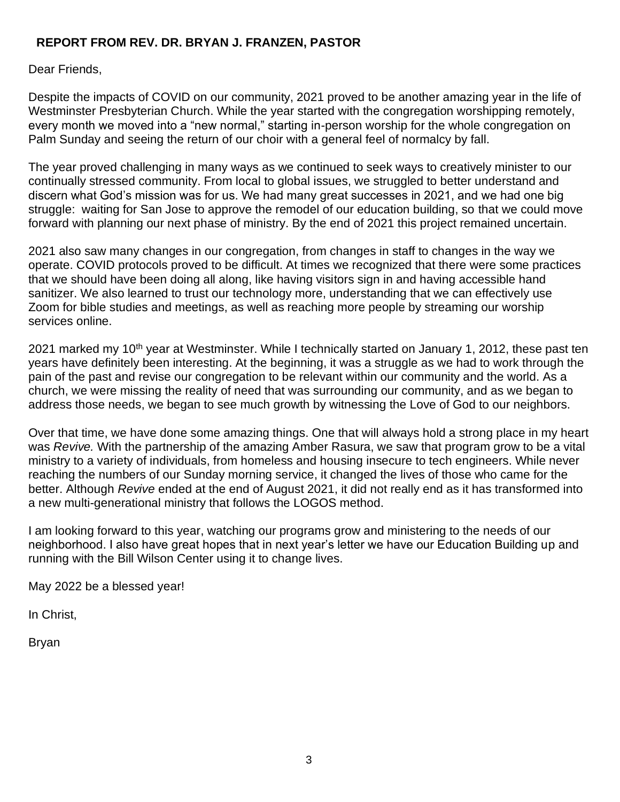## <span id="page-2-0"></span>**REPORT FROM REV. DR. BRYAN J. FRANZEN, PASTOR**

Dear Friends,

Despite the impacts of COVID on our community, 2021 proved to be another amazing year in the life of Westminster Presbyterian Church. While the year started with the congregation worshipping remotely, every month we moved into a "new normal," starting in-person worship for the whole congregation on Palm Sunday and seeing the return of our choir with a general feel of normalcy by fall.

The year proved challenging in many ways as we continued to seek ways to creatively minister to our continually stressed community. From local to global issues, we struggled to better understand and discern what God's mission was for us. We had many great successes in 2021, and we had one big struggle: waiting for San Jose to approve the remodel of our education building, so that we could move forward with planning our next phase of ministry. By the end of 2021 this project remained uncertain.

2021 also saw many changes in our congregation, from changes in staff to changes in the way we operate. COVID protocols proved to be difficult. At times we recognized that there were some practices that we should have been doing all along, like having visitors sign in and having accessible hand sanitizer. We also learned to trust our technology more, understanding that we can effectively use Zoom for bible studies and meetings, as well as reaching more people by streaming our worship services online.

2021 marked my 10<sup>th</sup> year at Westminster. While I technically started on January 1, 2012, these past ten years have definitely been interesting. At the beginning, it was a struggle as we had to work through the pain of the past and revise our congregation to be relevant within our community and the world. As a church, we were missing the reality of need that was surrounding our community, and as we began to address those needs, we began to see much growth by witnessing the Love of God to our neighbors.

Over that time, we have done some amazing things. One that will always hold a strong place in my heart was *Revive.* With the partnership of the amazing Amber Rasura, we saw that program grow to be a vital ministry to a variety of individuals, from homeless and housing insecure to tech engineers. While never reaching the numbers of our Sunday morning service, it changed the lives of those who came for the better. Although *Revive* ended at the end of August 2021, it did not really end as it has transformed into a new multi-generational ministry that follows the LOGOS method.

I am looking forward to this year, watching our programs grow and ministering to the needs of our neighborhood. I also have great hopes that in next year's letter we have our Education Building up and running with the Bill Wilson Center using it to change lives.

May 2022 be a blessed year!

In Christ,

Bryan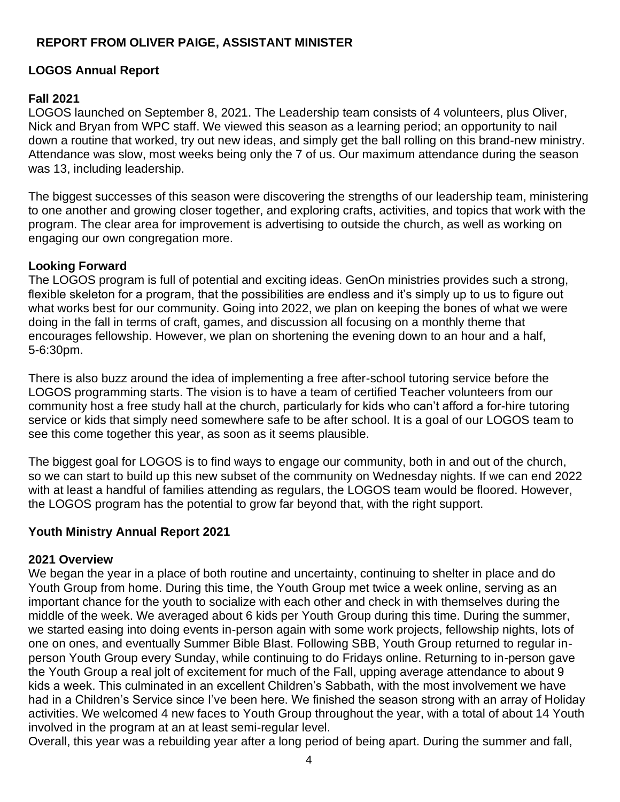## <span id="page-3-0"></span>**REPORT FROM OLIVER PAIGE, ASSISTANT MINISTER**

#### **LOGOS Annual Report**

#### **Fall 2021**

LOGOS launched on September 8, 2021. The Leadership team consists of 4 volunteers, plus Oliver, Nick and Bryan from WPC staff. We viewed this season as a learning period; an opportunity to nail down a routine that worked, try out new ideas, and simply get the ball rolling on this brand-new ministry. Attendance was slow, most weeks being only the 7 of us. Our maximum attendance during the season was 13, including leadership.

The biggest successes of this season were discovering the strengths of our leadership team, ministering to one another and growing closer together, and exploring crafts, activities, and topics that work with the program. The clear area for improvement is advertising to outside the church, as well as working on engaging our own congregation more.

#### **Looking Forward**

The LOGOS program is full of potential and exciting ideas. GenOn ministries provides such a strong, flexible skeleton for a program, that the possibilities are endless and it's simply up to us to figure out what works best for our community. Going into 2022, we plan on keeping the bones of what we were doing in the fall in terms of craft, games, and discussion all focusing on a monthly theme that encourages fellowship. However, we plan on shortening the evening down to an hour and a half, 5-6:30pm.

There is also buzz around the idea of implementing a free after-school tutoring service before the LOGOS programming starts. The vision is to have a team of certified Teacher volunteers from our community host a free study hall at the church, particularly for kids who can't afford a for-hire tutoring service or kids that simply need somewhere safe to be after school. It is a goal of our LOGOS team to see this come together this year, as soon as it seems plausible.

The biggest goal for LOGOS is to find ways to engage our community, both in and out of the church, so we can start to build up this new subset of the community on Wednesday nights. If we can end 2022 with at least a handful of families attending as regulars, the LOGOS team would be floored. However, the LOGOS program has the potential to grow far beyond that, with the right support.

### **Youth Ministry Annual Report 2021**

#### **2021 Overview**

We began the year in a place of both routine and uncertainty, continuing to shelter in place and do Youth Group from home. During this time, the Youth Group met twice a week online, serving as an important chance for the youth to socialize with each other and check in with themselves during the middle of the week. We averaged about 6 kids per Youth Group during this time. During the summer, we started easing into doing events in-person again with some work projects, fellowship nights, lots of one on ones, and eventually Summer Bible Blast. Following SBB, Youth Group returned to regular inperson Youth Group every Sunday, while continuing to do Fridays online. Returning to in-person gave the Youth Group a real jolt of excitement for much of the Fall, upping average attendance to about 9 kids a week. This culminated in an excellent Children's Sabbath, with the most involvement we have had in a Children's Service since I've been here. We finished the season strong with an array of Holiday activities. We welcomed 4 new faces to Youth Group throughout the year, with a total of about 14 Youth involved in the program at an at least semi-regular level.

Overall, this year was a rebuilding year after a long period of being apart. During the summer and fall,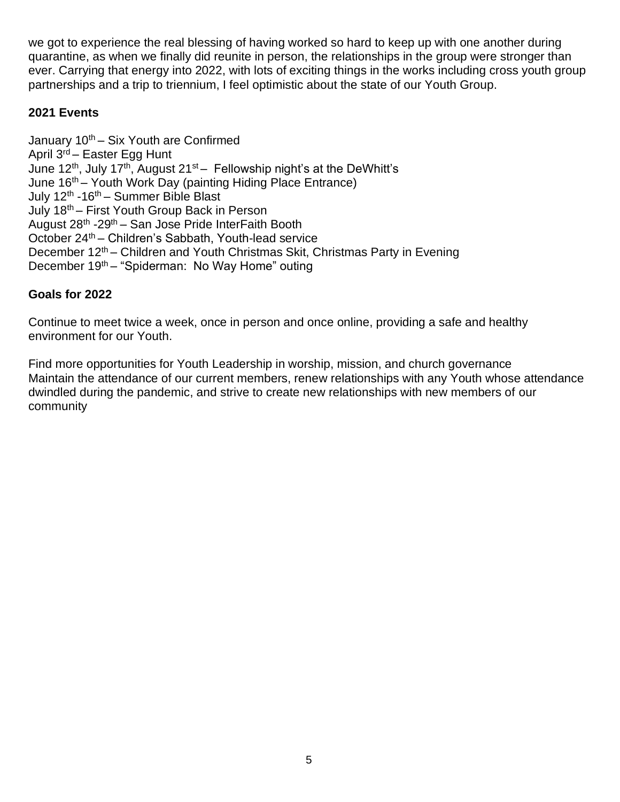we got to experience the real blessing of having worked so hard to keep up with one another during quarantine, as when we finally did reunite in person, the relationships in the group were stronger than ever. Carrying that energy into 2022, with lots of exciting things in the works including cross youth group partnerships and a trip to triennium, I feel optimistic about the state of our Youth Group.

### **2021 Events**

January  $10^{th}$  – Six Youth are Confirmed April 3<sup>rd</sup> – Easter Egg Hunt June 12<sup>th</sup>, July 17<sup>th</sup>, August 21<sup>st</sup> – Fellowship night's at the DeWhitt's June 16<sup>th</sup> – Youth Work Day (painting Hiding Place Entrance) July 12<sup>th</sup> -16<sup>th</sup> – Summer Bible Blast July 18th – First Youth Group Back in Person August 28<sup>th</sup> -29<sup>th</sup> – San Jose Pride InterFaith Booth October 24th – Children's Sabbath, Youth-lead service December 12<sup>th</sup> – Children and Youth Christmas Skit, Christmas Party in Evening December 19th – "Spiderman: No Way Home" outing

### **Goals for 2022**

Continue to meet twice a week, once in person and once online, providing a safe and healthy environment for our Youth.

Find more opportunities for Youth Leadership in worship, mission, and church governance Maintain the attendance of our current members, renew relationships with any Youth whose attendance dwindled during the pandemic, and strive to create new relationships with new members of our community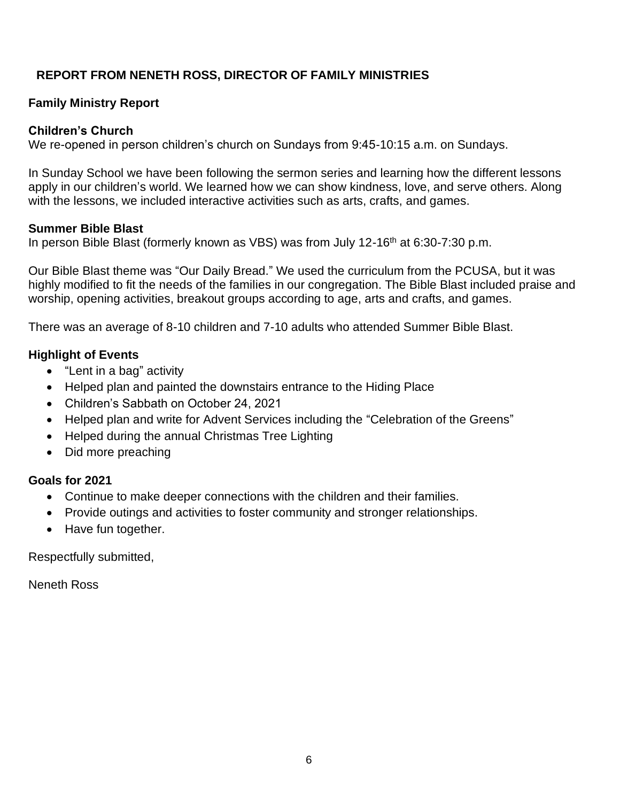## <span id="page-5-0"></span>**REPORT FROM NENETH ROSS, DIRECTOR OF FAMILY MINISTRIES**

## **Family Ministry Report**

#### **Children's Church**

We re-opened in person children's church on Sundays from 9:45-10:15 a.m. on Sundays.

In Sunday School we have been following the sermon series and learning how the different lessons apply in our children's world. We learned how we can show kindness, love, and serve others. Along with the lessons, we included interactive activities such as arts, crafts, and games.

#### **Summer Bible Blast**

In person Bible Blast (formerly known as VBS) was from July 12-16<sup>th</sup> at 6:30-7:30 p.m.

Our Bible Blast theme was "Our Daily Bread." We used the curriculum from the PCUSA, but it was highly modified to fit the needs of the families in our congregation. The Bible Blast included praise and worship, opening activities, breakout groups according to age, arts and crafts, and games.

There was an average of 8-10 children and 7-10 adults who attended Summer Bible Blast.

### **Highlight of Events**

- "Lent in a bag" activity
- Helped plan and painted the downstairs entrance to the Hiding Place
- Children's Sabbath on October 24, 2021
- Helped plan and write for Advent Services including the "Celebration of the Greens"
- Helped during the annual Christmas Tree Lighting
- Did more preaching

#### **Goals for 2021**

- Continue to make deeper connections with the children and their families.
- Provide outings and activities to foster community and stronger relationships.
- Have fun together.

Respectfully submitted,

Neneth Ross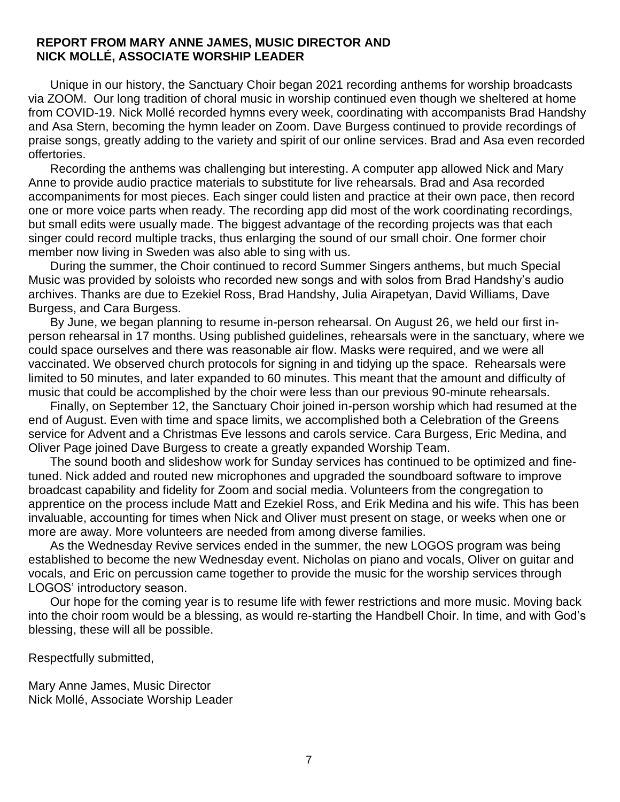#### <span id="page-6-0"></span>**REPORT FROM MARY ANNE JAMES, MUSIC DIRECTOR AND NICK MOLLÉ, ASSOCIATE WORSHIP LEADER**

Unique in our history, the Sanctuary Choir began 2021 recording anthems for worship broadcasts via ZOOM. Our long tradition of choral music in worship continued even though we sheltered at home from COVID-19. Nick Mollé recorded hymns every week, coordinating with accompanists Brad Handshy and Asa Stern, becoming the hymn leader on Zoom. Dave Burgess continued to provide recordings of praise songs, greatly adding to the variety and spirit of our online services. Brad and Asa even recorded offertories.

Recording the anthems was challenging but interesting. A computer app allowed Nick and Mary Anne to provide audio practice materials to substitute for live rehearsals. Brad and Asa recorded accompaniments for most pieces. Each singer could listen and practice at their own pace, then record one or more voice parts when ready. The recording app did most of the work coordinating recordings, but small edits were usually made. The biggest advantage of the recording projects was that each singer could record multiple tracks, thus enlarging the sound of our small choir. One former choir member now living in Sweden was also able to sing with us.

During the summer, the Choir continued to record Summer Singers anthems, but much Special Music was provided by soloists who recorded new songs and with solos from Brad Handshy's audio archives. Thanks are due to Ezekiel Ross, Brad Handshy, Julia Airapetyan, David Williams, Dave Burgess, and Cara Burgess.

By June, we began planning to resume in-person rehearsal. On August 26, we held our first inperson rehearsal in 17 months. Using published guidelines, rehearsals were in the sanctuary, where we could space ourselves and there was reasonable air flow. Masks were required, and we were all vaccinated. We observed church protocols for signing in and tidying up the space. Rehearsals were limited to 50 minutes, and later expanded to 60 minutes. This meant that the amount and difficulty of music that could be accomplished by the choir were less than our previous 90-minute rehearsals.

Finally, on September 12, the Sanctuary Choir joined in-person worship which had resumed at the end of August. Even with time and space limits, we accomplished both a Celebration of the Greens service for Advent and a Christmas Eve lessons and carols service. Cara Burgess, Eric Medina, and Oliver Page joined Dave Burgess to create a greatly expanded Worship Team.

The sound booth and slideshow work for Sunday services has continued to be optimized and finetuned. Nick added and routed new microphones and upgraded the soundboard software to improve broadcast capability and fidelity for Zoom and social media. Volunteers from the congregation to apprentice on the process include Matt and Ezekiel Ross, and Erik Medina and his wife. This has been invaluable, accounting for times when Nick and Oliver must present on stage, or weeks when one or more are away. More volunteers are needed from among diverse families.

As the Wednesday Revive services ended in the summer, the new LOGOS program was being established to become the new Wednesday event. Nicholas on piano and vocals, Oliver on guitar and vocals, and Eric on percussion came together to provide the music for the worship services through LOGOS' introductory season.

Our hope for the coming year is to resume life with fewer restrictions and more music. Moving back into the choir room would be a blessing, as would re-starting the Handbell Choir. In time, and with God's blessing, these will all be possible.

Respectfully submitted,

Mary Anne James, Music Director Nick Mollé, Associate Worship Leader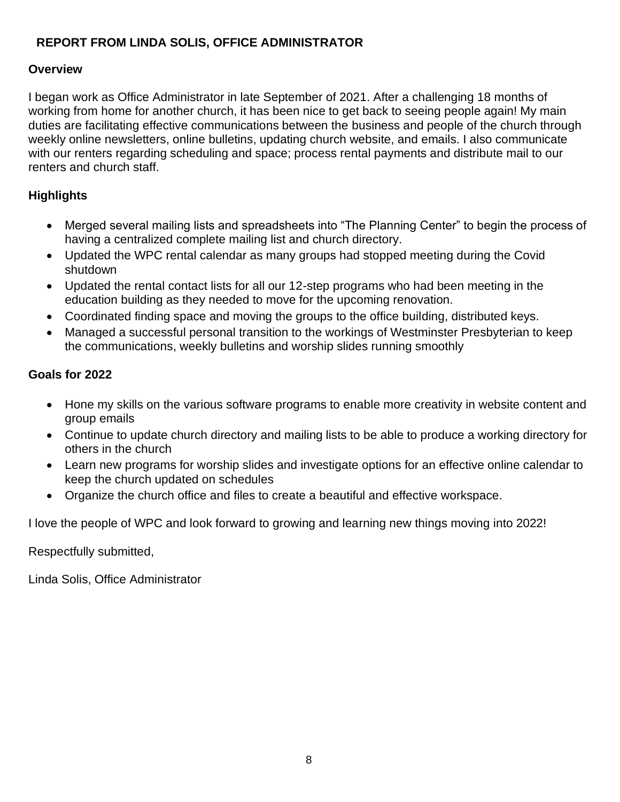## <span id="page-7-0"></span>**REPORT FROM LINDA SOLIS, OFFICE ADMINISTRATOR**

## **Overview**

I began work as Office Administrator in late September of 2021. After a challenging 18 months of working from home for another church, it has been nice to get back to seeing people again! My main duties are facilitating effective communications between the business and people of the church through weekly online newsletters, online bulletins, updating church website, and emails. I also communicate with our renters regarding scheduling and space; process rental payments and distribute mail to our renters and church staff.

## **Highlights**

- Merged several mailing lists and spreadsheets into "The Planning Center" to begin the process of having a centralized complete mailing list and church directory.
- Updated the WPC rental calendar as many groups had stopped meeting during the Covid shutdown
- Updated the rental contact lists for all our 12-step programs who had been meeting in the education building as they needed to move for the upcoming renovation.
- Coordinated finding space and moving the groups to the office building, distributed keys.
- Managed a successful personal transition to the workings of Westminster Presbyterian to keep the communications, weekly bulletins and worship slides running smoothly

## **Goals for 2022**

- Hone my skills on the various software programs to enable more creativity in website content and group emails
- Continue to update church directory and mailing lists to be able to produce a working directory for others in the church
- Learn new programs for worship slides and investigate options for an effective online calendar to keep the church updated on schedules
- Organize the church office and files to create a beautiful and effective workspace.

I love the people of WPC and look forward to growing and learning new things moving into 2022!

Respectfully submitted,

Linda Solis, Office Administrator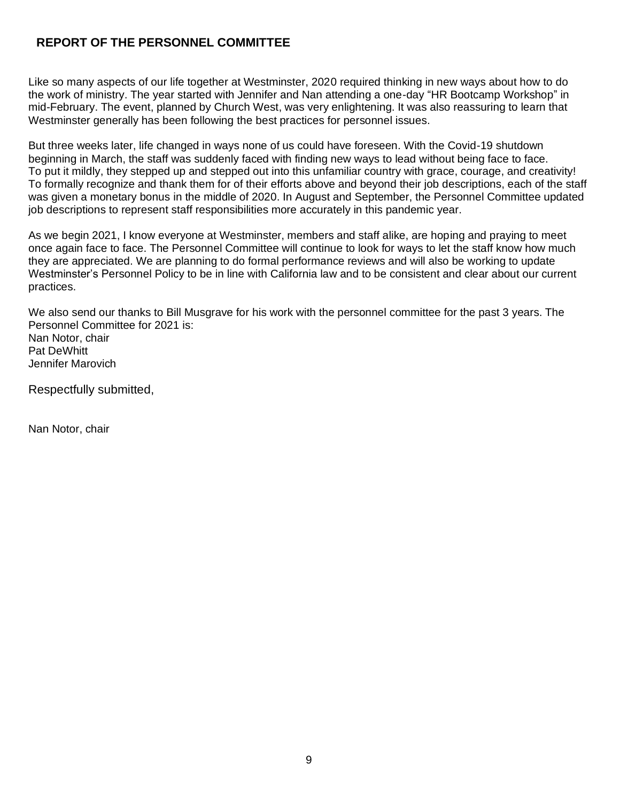## <span id="page-8-0"></span>**REPORT OF THE PERSONNEL COMMITTEE**

Like so many aspects of our life together at Westminster, 2020 required thinking in new ways about how to do the work of ministry. The year started with Jennifer and Nan attending a one-day "HR Bootcamp Workshop" in mid-February. The event, planned by Church West, was very enlightening. It was also reassuring to learn that Westminster generally has been following the best practices for personnel issues.

But three weeks later, life changed in ways none of us could have foreseen. With the Covid-19 shutdown beginning in March, the staff was suddenly faced with finding new ways to lead without being face to face. To put it mildly, they stepped up and stepped out into this unfamiliar country with grace, courage, and creativity! To formally recognize and thank them for of their efforts above and beyond their job descriptions, each of the staff was given a monetary bonus in the middle of 2020. In August and September, the Personnel Committee updated job descriptions to represent staff responsibilities more accurately in this pandemic year.

As we begin 2021, I know everyone at Westminster, members and staff alike, are hoping and praying to meet once again face to face. The Personnel Committee will continue to look for ways to let the staff know how much they are appreciated. We are planning to do formal performance reviews and will also be working to update Westminster's Personnel Policy to be in line with California law and to be consistent and clear about our current practices.

We also send our thanks to Bill Musgrave for his work with the personnel committee for the past 3 years. The Personnel Committee for 2021 is: Nan Notor, chair Pat DeWhitt Jennifer Marovich

Respectfully submitted,

Nan Notor, chair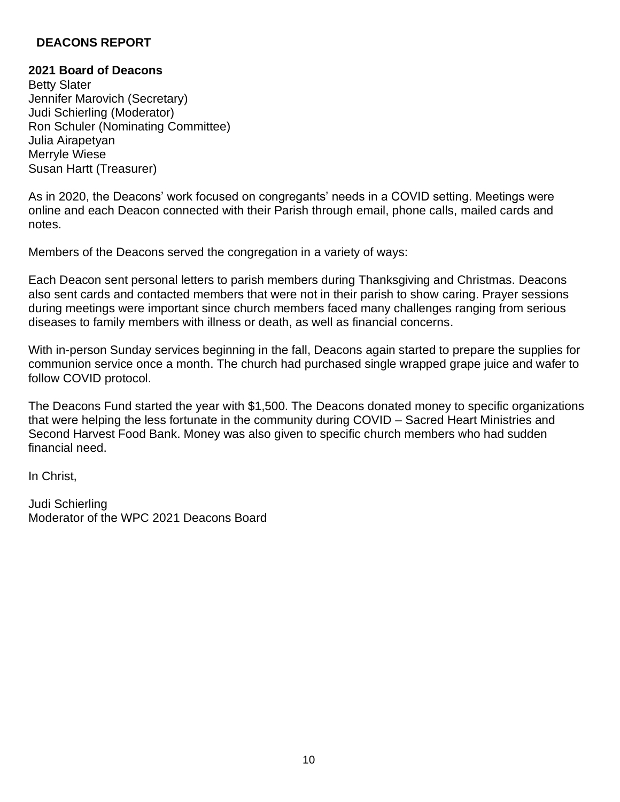#### <span id="page-9-0"></span>**DEACONS REPORT**

#### **2021 Board of Deacons**

Betty Slater Jennifer Marovich (Secretary) Judi Schierling (Moderator) Ron Schuler (Nominating Committee) Julia Airapetyan Merryle Wiese Susan Hartt (Treasurer)

As in 2020, the Deacons' work focused on congregants' needs in a COVID setting. Meetings were online and each Deacon connected with their Parish through email, phone calls, mailed cards and notes.

Members of the Deacons served the congregation in a variety of ways:

Each Deacon sent personal letters to parish members during Thanksgiving and Christmas. Deacons also sent cards and contacted members that were not in their parish to show caring. Prayer sessions during meetings were important since church members faced many challenges ranging from serious diseases to family members with illness or death, as well as financial concerns.

With in-person Sunday services beginning in the fall, Deacons again started to prepare the supplies for communion service once a month. The church had purchased single wrapped grape juice and wafer to follow COVID protocol.

The Deacons Fund started the year with \$1,500. The Deacons donated money to specific organizations that were helping the less fortunate in the community during COVID – Sacred Heart Ministries and Second Harvest Food Bank. Money was also given to specific church members who had sudden financial need.

In Christ,

Judi Schierling Moderator of the WPC 2021 Deacons Board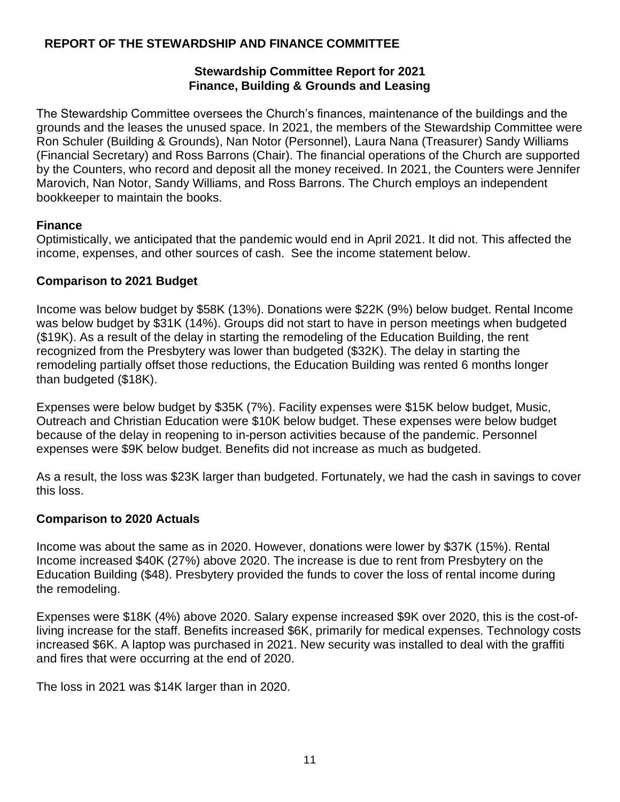## <span id="page-10-0"></span>**REPORT OF THE STEWARDSHIP AND FINANCE COMMITTEE**

#### **Stewardship Committee Report for 2021 Finance, Building & Grounds and Leasing**

The Stewardship Committee oversees the Church's finances, maintenance of the buildings and the grounds and the leases the unused space. In 2021, the members of the Stewardship Committee were Ron Schuler (Building & Grounds), Nan Notor (Personnel), Laura Nana (Treasurer) Sandy Williams (Financial Secretary) and Ross Barrons (Chair). The financial operations of the Church are supported by the Counters, who record and deposit all the money received. In 2021, the Counters were Jennifer Marovich, Nan Notor, Sandy Williams, and Ross Barrons. The Church employs an independent bookkeeper to maintain the books.

### **Finance**

Optimistically, we anticipated that the pandemic would end in April 2021. It did not. This affected the income, expenses, and other sources of cash. See the income statement below.

### **Comparison to 2021 Budget**

Income was below budget by \$58K (13%). Donations were \$22K (9%) below budget. Rental Income was below budget by \$31K (14%). Groups did not start to have in person meetings when budgeted (\$19K). As a result of the delay in starting the remodeling of the Education Building, the rent recognized from the Presbytery was lower than budgeted (\$32K). The delay in starting the remodeling partially offset those reductions, the Education Building was rented 6 months longer than budgeted (\$18K).

Expenses were below budget by \$35K (7%). Facility expenses were \$15K below budget, Music, Outreach and Christian Education were \$10K below budget. These expenses were below budget because of the delay in reopening to in-person activities because of the pandemic. Personnel expenses were \$9K below budget. Benefits did not increase as much as budgeted.

As a result, the loss was \$23K larger than budgeted. Fortunately, we had the cash in savings to cover this loss.

#### **Comparison to 2020 Actuals**

Income was about the same as in 2020. However, donations were lower by \$37K (15%). Rental Income increased \$40K (27%) above 2020. The increase is due to rent from Presbytery on the Education Building (\$48). Presbytery provided the funds to cover the loss of rental income during the remodeling.

Expenses were \$18K (4%) above 2020. Salary expense increased \$9K over 2020, this is the cost-ofliving increase for the staff. Benefits increased \$6K, primarily for medical expenses. Technology costs increased \$6K. A laptop was purchased in 2021. New security was installed to deal with the graffiti and fires that were occurring at the end of 2020.

The loss in 2021 was \$14K larger than in 2020.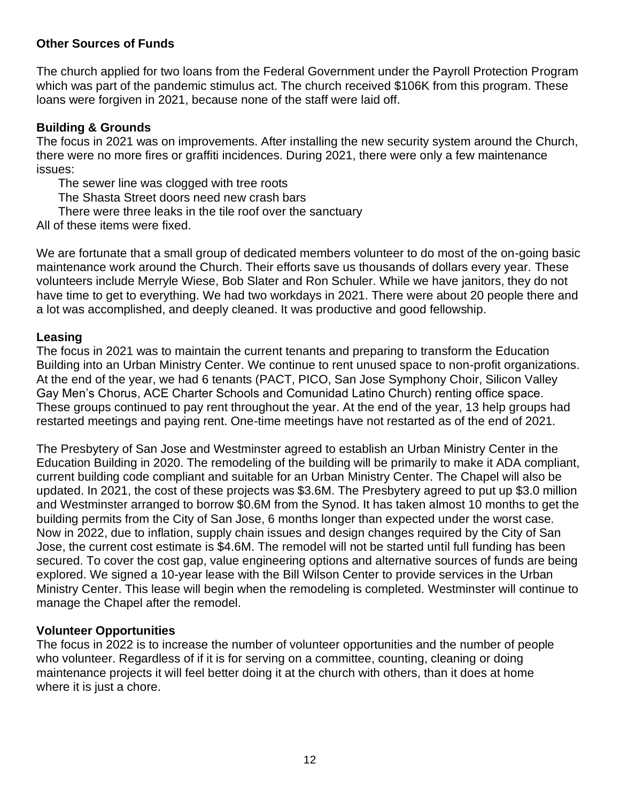## **Other Sources of Funds**

The church applied for two loans from the Federal Government under the Payroll Protection Program which was part of the pandemic stimulus act. The church received \$106K from this program. These loans were forgiven in 2021, because none of the staff were laid off.

### **Building & Grounds**

The focus in 2021 was on improvements. After installing the new security system around the Church, there were no more fires or graffiti incidences. During 2021, there were only a few maintenance issues:

The sewer line was clogged with tree roots

The Shasta Street doors need new crash bars

There were three leaks in the tile roof over the sanctuary

All of these items were fixed.

We are fortunate that a small group of dedicated members volunteer to do most of the on-going basic maintenance work around the Church. Their efforts save us thousands of dollars every year. These volunteers include Merryle Wiese, Bob Slater and Ron Schuler. While we have janitors, they do not have time to get to everything. We had two workdays in 2021. There were about 20 people there and a lot was accomplished, and deeply cleaned. It was productive and good fellowship.

### **Leasing**

The focus in 2021 was to maintain the current tenants and preparing to transform the Education Building into an Urban Ministry Center. We continue to rent unused space to non-profit organizations. At the end of the year, we had 6 tenants (PACT, PICO, San Jose Symphony Choir, Silicon Valley Gay Men's Chorus, ACE Charter Schools and Comunidad Latino Church) renting office space. These groups continued to pay rent throughout the year. At the end of the year, 13 help groups had restarted meetings and paying rent. One-time meetings have not restarted as of the end of 2021.

The Presbytery of San Jose and Westminster agreed to establish an Urban Ministry Center in the Education Building in 2020. The remodeling of the building will be primarily to make it ADA compliant, current building code compliant and suitable for an Urban Ministry Center. The Chapel will also be updated. In 2021, the cost of these projects was \$3.6M. The Presbytery agreed to put up \$3.0 million and Westminster arranged to borrow \$0.6M from the Synod. It has taken almost 10 months to get the building permits from the City of San Jose, 6 months longer than expected under the worst case. Now in 2022, due to inflation, supply chain issues and design changes required by the City of San Jose, the current cost estimate is \$4.6M. The remodel will not be started until full funding has been secured. To cover the cost gap, value engineering options and alternative sources of funds are being explored. We signed a 10-year lease with the Bill Wilson Center to provide services in the Urban Ministry Center. This lease will begin when the remodeling is completed. Westminster will continue to manage the Chapel after the remodel.

#### **Volunteer Opportunities**

The focus in 2022 is to increase the number of volunteer opportunities and the number of people who volunteer. Regardless of if it is for serving on a committee, counting, cleaning or doing maintenance projects it will feel better doing it at the church with others, than it does at home where it is just a chore.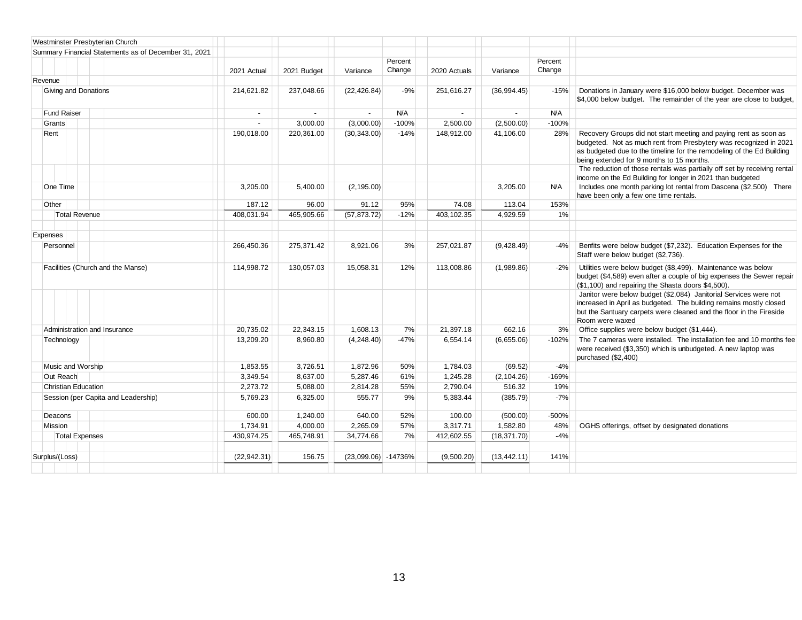| Westminster Presbyterian Church                      |              |                |              |                   |              |              |                   |                                                                                                                                                                                                                                                             |
|------------------------------------------------------|--------------|----------------|--------------|-------------------|--------------|--------------|-------------------|-------------------------------------------------------------------------------------------------------------------------------------------------------------------------------------------------------------------------------------------------------------|
| Summary Financial Statements as of December 31, 2021 |              |                |              |                   |              |              |                   |                                                                                                                                                                                                                                                             |
|                                                      | 2021 Actual  | 2021 Budget    | Variance     | Percent<br>Change | 2020 Actuals | Variance     | Percent<br>Change |                                                                                                                                                                                                                                                             |
| Revenue                                              |              |                |              |                   |              |              |                   |                                                                                                                                                                                                                                                             |
| Giving and Donations                                 | 214,621.82   | 237,048.66     | (22, 426.84) | $-9%$             | 251,616.27   | (36,994.45)  | $-15%$            | Donations in January were \$16,000 below budget. December was<br>\$4,000 below budget. The remainder of the year are close to budget,                                                                                                                       |
| <b>Fund Raiser</b>                                   | $\sim$       | $\blacksquare$ | $\sim$       | N/A               | $\sim$       | $\sim$       | <b>N/A</b>        |                                                                                                                                                                                                                                                             |
| Grants                                               | $\sim$       | 3,000.00       | (3,000.00)   | $-100%$           | 2,500.00     | (2,500.00)   | $-100%$           |                                                                                                                                                                                                                                                             |
| Rent                                                 | 190,018.00   | 220,361.00     | (30, 343.00) | $-14%$            | 148,912.00   | 41,106.00    | 28%               | Recovery Groups did not start meeting and paying rent as soon as<br>budgeted. Not as much rent from Presbytery was recognized in 2021<br>as budgeted due to the timeline for the remodeling of the Ed Building<br>being extended for 9 months to 15 months. |
|                                                      |              |                |              |                   |              |              |                   | The reduction of those rentals was partially off set by receiving rental<br>income on the Ed Building for longer in 2021 than budgeted                                                                                                                      |
| One Time                                             | 3,205.00     | 5,400.00       | (2, 195.00)  |                   |              | 3,205.00     | <b>N/A</b>        | Includes one month parking lot rental from Dascena (\$2,500) There<br>have been only a few one time rentals.                                                                                                                                                |
| Other                                                | 187.12       | 96.00          | 91.12        | 95%               | 74.08        | 113.04       | 153%              |                                                                                                                                                                                                                                                             |
| <b>Total Revenue</b>                                 | 408,031.94   | 465,905.66     | (57, 873.72) | $-12%$            | 403,102.35   | 4,929.59     | 1%                |                                                                                                                                                                                                                                                             |
|                                                      |              |                |              |                   |              |              |                   |                                                                                                                                                                                                                                                             |
| Expenses                                             |              |                |              |                   |              |              |                   |                                                                                                                                                                                                                                                             |
| Personnel                                            | 266,450.36   | 275,371.42     | 8,921.06     | 3%                | 257,021.87   | (9,428.49)   | $-4%$             | Benfits were below budget (\$7,232). Education Expenses for the<br>Staff were below budget (\$2,736).                                                                                                                                                       |
| Facilities (Church and the Manse)                    | 114,998.72   | 130,057.03     | 15.058.31    | 12%               | 113.008.86   | (1,989.86)   | $-2%$             | Utilities were below budget (\$8,499). Maintenance was below<br>budget (\$4,589) even after a couple of big expenses the Sewer repair<br>(\$1,100) and repairing the Shasta doors \$4,500).                                                                 |
|                                                      |              |                |              |                   |              |              |                   | Janitor were below budget (\$2,084) Janitorial Services were not<br>increased in April as budgeted. The building remains mostly closed<br>but the Santuary carpets were cleaned and the floor in the Fireside<br>Room were waxed                            |
| Administration and Insurance                         | 20,735.02    | 22,343.15      | 1,608.13     | 7%                | 21,397.18    | 662.16       | 3%                | Office supplies were below budget (\$1,444).                                                                                                                                                                                                                |
| Technology                                           | 13,209.20    | 8,960.80       | (4,248.40)   | $-47%$            | 6,554.14     | (6,655.06)   | $-102%$           | The 7 cameras were installed. The installation fee and 10 months fee<br>were received (\$3,350) which is unbudgeted. A new laptop was<br>purchased (\$2,400)                                                                                                |
| Music and Worship                                    | 1,853.55     | 3,726.51       | 1,872.96     | 50%               | 1,784.03     | (69.52)      | $-4%$             |                                                                                                                                                                                                                                                             |
| Out Reach                                            | 3,349.54     | 8,637.00       | 5,287.46     | 61%               | 1,245.28     | (2, 104.26)  | $-169%$           |                                                                                                                                                                                                                                                             |
| <b>Christian Education</b>                           | 2,273.72     | 5,088.00       | 2,814.28     | 55%               | 2,790.04     | 516.32       | 19%               |                                                                                                                                                                                                                                                             |
| Session (per Capita and Leadership)                  | 5,769.23     | 6,325.00       | 555.77       | 9%                | 5,383.44     | (385.79)     | $-7%$             |                                                                                                                                                                                                                                                             |
| Deacons                                              | 600.00       | 1,240.00       | 640.00       | 52%               | 100.00       | (500.00)     | $-500%$           |                                                                                                                                                                                                                                                             |
| Mission                                              | 1,734.91     | 4,000.00       | 2,265.09     | 57%               | 3,317.71     | 1,582.80     | 48%               | OGHS offerings, offset by designated donations                                                                                                                                                                                                              |
| <b>Total Expenses</b>                                | 430,974.25   | 465,748.91     | 34,774.66    | 7%                | 412,602.55   | (18, 371.70) | $-4%$             |                                                                                                                                                                                                                                                             |
|                                                      |              |                |              |                   |              |              |                   |                                                                                                                                                                                                                                                             |
| Surplus/(Loss)                                       | (22, 942.31) | 156.75         | (23,099.06)  | -14736%           | (9,500.20)   | (13, 442.11) | 141%              |                                                                                                                                                                                                                                                             |